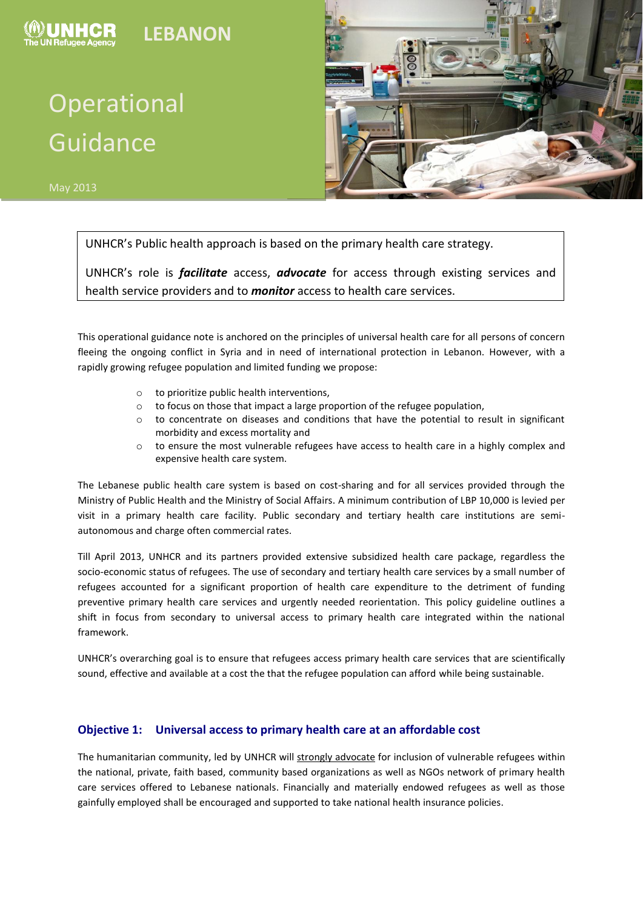

# Operational Guidance



UNHCR's Public health approach is based on the primary health care strategy.

UNHCR's role is *facilitate* access, *advocate* for access through existing services and health service providers and to *monitor* access to health care services.

This operational guidance note is anchored on the principles of universal health care for all persons of concern fleeing the ongoing conflict in Syria and in need of international protection in Lebanon. However, with a rapidly growing refugee population and limited funding we propose:

- o to prioritize public health interventions,
- o to focus on those that impact a large proportion of the refugee population,
- $\circ$  to concentrate on diseases and conditions that have the potential to result in significant morbidity and excess mortality and
- o to ensure the most vulnerable refugees have access to health care in a highly complex and expensive health care system.

The Lebanese public health care system is based on cost-sharing and for all services provided through the Ministry of Public Health and the Ministry of Social Affairs. A minimum contribution of LBP 10,000 is levied per visit in a primary health care facility. Public secondary and tertiary health care institutions are semiautonomous and charge often commercial rates.

Till April 2013, UNHCR and its partners provided extensive subsidized health care package, regardless the socio-economic status of refugees. The use of secondary and tertiary health care services by a small number of refugees accounted for a significant proportion of health care expenditure to the detriment of funding preventive primary health care services and urgently needed reorientation. This policy guideline outlines a shift in focus from secondary to universal access to primary health care integrated within the national framework.

UNHCR's overarching goal is to ensure that refugees access primary health care services that are scientifically sound, effective and available at a cost the that the refugee population can afford while being sustainable.

#### **Objective 1: Universal access to primary health care at an affordable cost**

The humanitarian community, led by UNHCR will strongly advocate for inclusion of vulnerable refugees within the national, private, faith based, community based organizations as well as NGOs network of primary health care services offered to Lebanese nationals. Financially and materially endowed refugees as well as those gainfully employed shall be encouraged and supported to take national health insurance policies.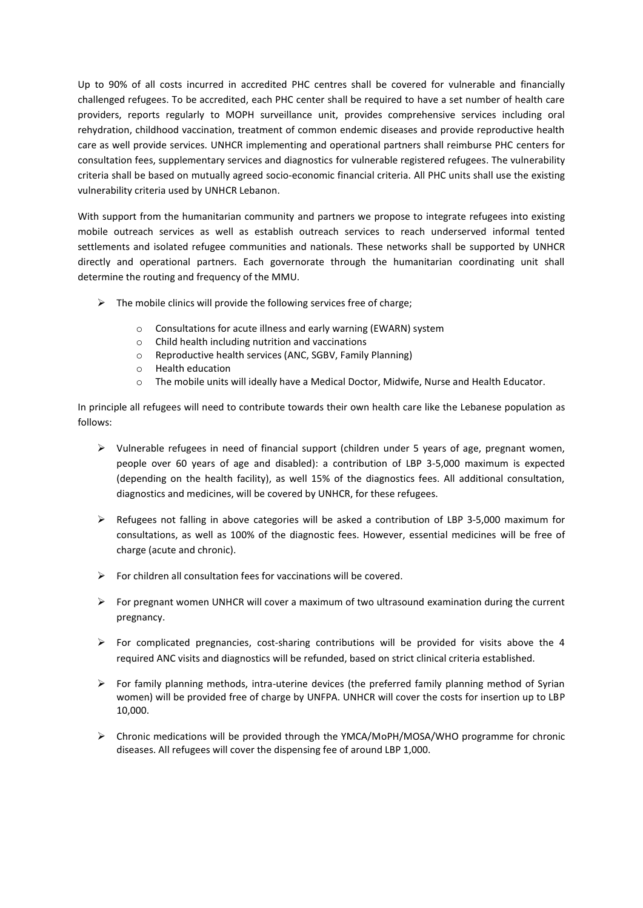Up to 90% of all costs incurred in accredited PHC centres shall be covered for vulnerable and financially challenged refugees. To be accredited, each PHC center shall be required to have a set number of health care providers, reports regularly to MOPH surveillance unit, provides comprehensive services including oral rehydration, childhood vaccination, treatment of common endemic diseases and provide reproductive health care as well provide services. UNHCR implementing and operational partners shall reimburse PHC centers for consultation fees, supplementary services and diagnostics for vulnerable registered refugees. The vulnerability criteria shall be based on mutually agreed socio-economic financial criteria. All PHC units shall use the existing vulnerability criteria used by UNHCR Lebanon.

With support from the humanitarian community and partners we propose to integrate refugees into existing mobile outreach services as well as establish outreach services to reach underserved informal tented settlements and isolated refugee communities and nationals. These networks shall be supported by UNHCR directly and operational partners. Each governorate through the humanitarian coordinating unit shall determine the routing and frequency of the MMU.

- $\triangleright$  The mobile clinics will provide the following services free of charge;
	- o Consultations for acute illness and early warning (EWARN) system
	- o Child health including nutrition and vaccinations
	- o Reproductive health services (ANC, SGBV, Family Planning)
	- o Health education
	- o The mobile units will ideally have a Medical Doctor, Midwife, Nurse and Health Educator.

In principle all refugees will need to contribute towards their own health care like the Lebanese population as follows:

- $\triangleright$  Vulnerable refugees in need of financial support (children under 5 years of age, pregnant women, people over 60 years of age and disabled): a contribution of LBP 3-5,000 maximum is expected (depending on the health facility), as well 15% of the diagnostics fees. All additional consultation, diagnostics and medicines, will be covered by UNHCR, for these refugees.
- $\triangleright$  Refugees not falling in above categories will be asked a contribution of LBP 3-5,000 maximum for consultations, as well as 100% of the diagnostic fees. However, essential medicines will be free of charge (acute and chronic).
- $\triangleright$  For children all consultation fees for vaccinations will be covered.
- $\triangleright$  For pregnant women UNHCR will cover a maximum of two ultrasound examination during the current pregnancy.
- $\triangleright$  For complicated pregnancies, cost-sharing contributions will be provided for visits above the 4 required ANC visits and diagnostics will be refunded, based on strict clinical criteria established.
- $\triangleright$  For family planning methods, intra-uterine devices (the preferred family planning method of Syrian women) will be provided free of charge by UNFPA. UNHCR will cover the costs for insertion up to LBP 10,000.
- Chronic medications will be provided through the YMCA/MoPH/MOSA/WHO programme for chronic diseases. All refugees will cover the dispensing fee of around LBP 1,000.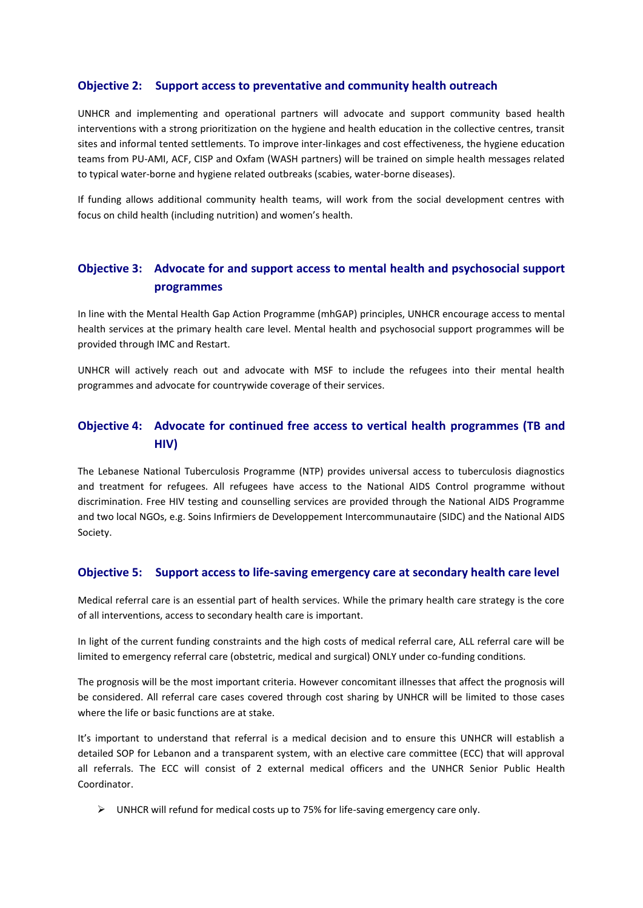#### **Objective 2: Support access to preventative and community health outreach**

UNHCR and implementing and operational partners will advocate and support community based health interventions with a strong prioritization on the hygiene and health education in the collective centres, transit sites and informal tented settlements. To improve inter-linkages and cost effectiveness, the hygiene education teams from PU-AMI, ACF, CISP and Oxfam (WASH partners) will be trained on simple health messages related to typical water-borne and hygiene related outbreaks (scabies, water-borne diseases).

If funding allows additional community health teams, will work from the social development centres with focus on child health (including nutrition) and women's health.

## **Objective 3: Advocate for and support access to mental health and psychosocial support programmes**

In line with the Mental Health Gap Action Programme (mhGAP) principles, UNHCR encourage access to mental health services at the primary health care level. Mental health and psychosocial support programmes will be provided through IMC and Restart.

UNHCR will actively reach out and advocate with MSF to include the refugees into their mental health programmes and advocate for countrywide coverage of their services.

## **Objective 4: Advocate for continued free access to vertical health programmes (TB and HIV)**

The Lebanese National Tuberculosis Programme (NTP) provides universal access to tuberculosis diagnostics and treatment for refugees. All refugees have access to the National AIDS Control programme without discrimination. Free HIV testing and counselling services are provided through the National AIDS Programme and two local NGOs, e.g. Soins Infirmiers de Developpement Intercommunautaire (SIDC) and the National AIDS Society.

#### **Objective 5: Support access to life-saving emergency care at secondary health care level**

Medical referral care is an essential part of health services. While the primary health care strategy is the core of all interventions, access to secondary health care is important.

In light of the current funding constraints and the high costs of medical referral care, ALL referral care will be limited to emergency referral care (obstetric, medical and surgical) ONLY under co-funding conditions.

The prognosis will be the most important criteria. However concomitant illnesses that affect the prognosis will be considered. All referral care cases covered through cost sharing by UNHCR will be limited to those cases where the life or basic functions are at stake.

It's important to understand that referral is a medical decision and to ensure this UNHCR will establish a detailed SOP for Lebanon and a transparent system, with an elective care committee (ECC) that will approval all referrals. The ECC will consist of 2 external medical officers and the UNHCR Senior Public Health Coordinator.

 $\triangleright$  UNHCR will refund for medical costs up to 75% for life-saving emergency care only.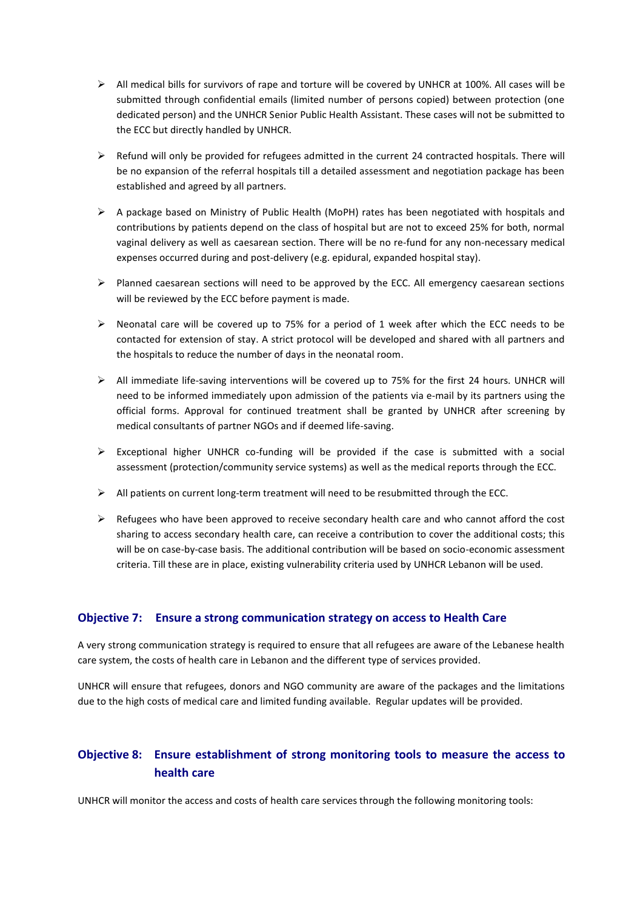- $\triangleright$  All medical bills for survivors of rape and torture will be covered by UNHCR at 100%. All cases will be submitted through confidential emails (limited number of persons copied) between protection (one dedicated person) and the UNHCR Senior Public Health Assistant. These cases will not be submitted to the ECC but directly handled by UNHCR.
- $\triangleright$  Refund will only be provided for refugees admitted in the current 24 contracted hospitals. There will be no expansion of the referral hospitals till a detailed assessment and negotiation package has been established and agreed by all partners.
- $\triangleright$  A package based on Ministry of Public Health (MoPH) rates has been negotiated with hospitals and contributions by patients depend on the class of hospital but are not to exceed 25% for both, normal vaginal delivery as well as caesarean section. There will be no re-fund for any non-necessary medical expenses occurred during and post-delivery (e.g. epidural, expanded hospital stay).
- $\triangleright$  Planned caesarean sections will need to be approved by the ECC. All emergency caesarean sections will be reviewed by the ECC before payment is made.
- $\triangleright$  Neonatal care will be covered up to 75% for a period of 1 week after which the ECC needs to be contacted for extension of stay. A strict protocol will be developed and shared with all partners and the hospitals to reduce the number of days in the neonatal room.
- $\triangleright$  All immediate life-saving interventions will be covered up to 75% for the first 24 hours. UNHCR will need to be informed immediately upon admission of the patients via e-mail by its partners using the official forms. Approval for continued treatment shall be granted by UNHCR after screening by medical consultants of partner NGOs and if deemed life-saving.
- $\triangleright$  Exceptional higher UNHCR co-funding will be provided if the case is submitted with a social assessment (protection/community service systems) as well as the medical reports through the ECC.
- $\triangleright$  All patients on current long-term treatment will need to be resubmitted through the ECC.
- $\triangleright$  Refugees who have been approved to receive secondary health care and who cannot afford the cost sharing to access secondary health care, can receive a contribution to cover the additional costs; this will be on case-by-case basis. The additional contribution will be based on socio-economic assessment criteria. Till these are in place, existing vulnerability criteria used by UNHCR Lebanon will be used.

#### **Objective 7: Ensure a strong communication strategy on access to Health Care**

A very strong communication strategy is required to ensure that all refugees are aware of the Lebanese health care system, the costs of health care in Lebanon and the different type of services provided.

UNHCR will ensure that refugees, donors and NGO community are aware of the packages and the limitations due to the high costs of medical care and limited funding available. Regular updates will be provided.

### **Objective 8: Ensure establishment of strong monitoring tools to measure the access to health care**

UNHCR will monitor the access and costs of health care services through the following monitoring tools: